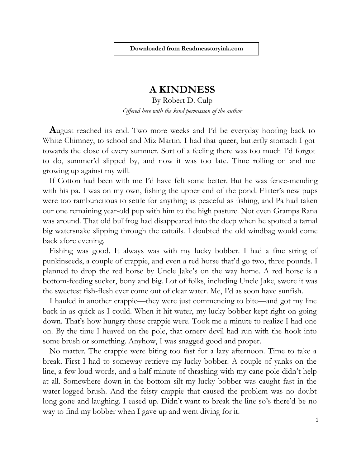## **A KINDNESS**

By Robert D. Culp *Offered here with the kind permission of the author*

**A**ugust reached its end. Two more weeks and I'd be everyday hoofing back to White Chimney, to school and Miz Martin. I had that queer, butterfly stomach I got towards the close of every summer. Sort of a feeling there was too much I'd forgot to do, summer'd slipped by, and now it was too late. Time rolling on and me growing up against my will.

If Cotton had been with me I'd have felt some better. But he was fence-mending with his pa. I was on my own, fishing the upper end of the pond. Flitter's new pups were too rambunctious to settle for anything as peaceful as fishing, and Pa had taken our one remaining year-old pup with him to the high pasture. Not even Gramps Rana was around. That old bullfrog had disappeared into the deep when he spotted a tarnal big watersnake slipping through the cattails. I doubted the old windbag would come back afore evening.

Fishing was good. It always was with my lucky bobber. I had a fine string of punkinseeds, a couple of crappie, and even a red horse that'd go two, three pounds. I planned to drop the red horse by Uncle Jake's on the way home. A red horse is a bottom-feeding sucker, bony and big. Lot of folks, including Uncle Jake, swore it was the sweetest fish-flesh ever come out of clear water. Me, I'd as soon have sunfish.

I hauled in another crappie—they were just commencing to bite—and got my line back in as quick as I could. When it hit water, my lucky bobber kept right on going down. That's how hungry those crappie were. Took me a minute to realize I had one on. By the time I heaved on the pole, that ornery devil had run with the hook into some brush or something. Anyhow, I was snagged good and proper.

No matter. The crappie were biting too fast for a lazy afternoon. Time to take a break. First I had to someway retrieve my lucky bobber. A couple of yanks on the line, a few loud words, and a half-minute of thrashing with my cane pole didn't help at all. Somewhere down in the bottom silt my lucky bobber was caught fast in the water-logged brush. And the feisty crappie that caused the problem was no doubt long gone and laughing. I eased up. Didn't want to break the line so's there'd be no way to find my bobber when I gave up and went diving for it.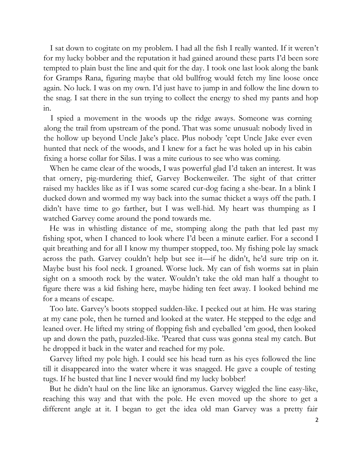I sat down to cogitate on my problem. I had all the fish I really wanted. If it weren't for my lucky bobber and the reputation it had gained around these parts I'd been sore tempted to plain bust the line and quit for the day. I took one last look along the bank for Gramps Rana, figuring maybe that old bullfrog would fetch my line loose once again. No luck. I was on my own. I'd just have to jump in and follow the line down to the snag. I sat there in the sun trying to collect the energy to shed my pants and hop in.

I spied a movement in the woods up the ridge aways. Someone was corning along the trail from upstream of the pond. That was some unusual: nobody lived in the hollow up beyond Uncle Jake's place. Plus nobody 'cept Uncle Jake ever even hunted that neck of the woods, and I knew for a fact he was holed up in his cabin fixing a horse collar for Silas. I was a mite curious to see who was coming.

When he came clear of the woods, I was powerful glad I'd taken an interest. It was that ornery, pig-murdering thief, Garvey Bockenweiler. The sight of that critter raised my hackles like as if I was some scared cur-dog facing a she-bear. In a blink I ducked down and wormed my way back into the sumac thicket a ways off the path. I didn't have time to go farther, but I was well-hid. My heart was thumping as I watched Garvey come around the pond towards me.

He was in whistling distance of me, stomping along the path that led past my fishing spot, when I chanced to look where I'd been a minute earlier. For a second I quit breathing and for all I know my thumper stopped, too. My fishing pole lay smack across the path. Garvey couldn't help but see it—if he didn't, he'd sure trip on it. Maybe bust his fool neck. I groaned. Worse luck. My can of fish worms sat in plain sight on a smooth rock by the water. Wouldn't take the old man half a thought to figure there was a kid fishing here, maybe hiding ten feet away. I looked behind me for a means of escape.

Too late. Garvey's boots stopped sudden-like. I peeked out at him. He was staring at my cane pole, then he turned and looked at the water. He stepped to the edge and leaned over. He lifted my string of flopping fish and eyeballed 'em good, then looked up and down the path, puzzled-like. 'Peared that cuss was gonna steal my catch. But he dropped it back in the water and reached for my pole.

Garvey lifted my pole high. I could see his head turn as his eyes followed the line till it disappeared into the water where it was snagged. He gave a couple of testing tugs. If he busted that line I never would find my lucky bobber!

But he didn't haul on the line like an ignoramus. Garvey wiggled the line easy-like, reaching this way and that with the pole. He even moved up the shore to get a different angle at it. I began to get the idea old man Garvey was a pretty fair